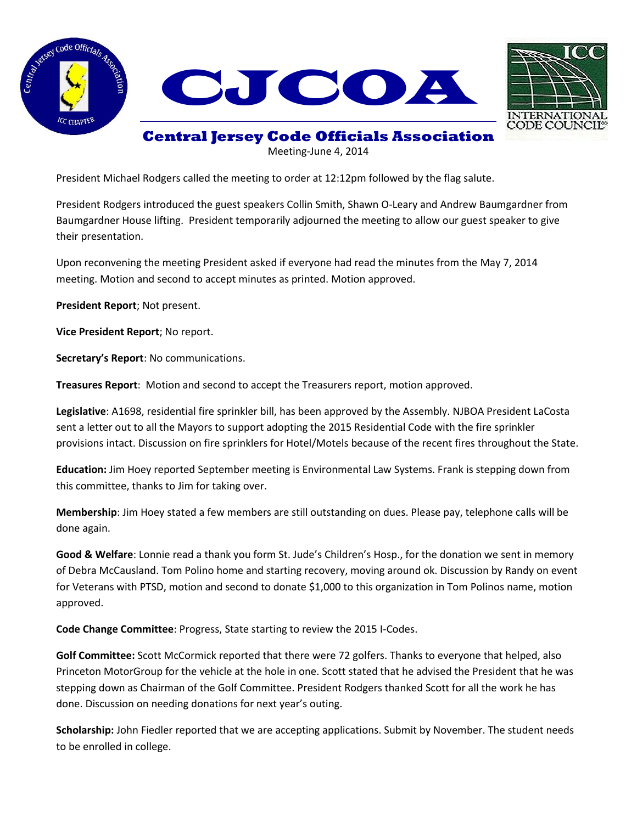



**Central Jersey Code Officials Association**

Meeting-June 4, 2014

President Michael Rodgers called the meeting to order at 12:12pm followed by the flag salute.

President Rodgers introduced the guest speakers Collin Smith, Shawn O-Leary and Andrew Baumgardner from Baumgardner House lifting. President temporarily adjourned the meeting to allow our guest speaker to give their presentation.

Upon reconvening the meeting President asked if everyone had read the minutes from the May 7, 2014 meeting. Motion and second to accept minutes as printed. Motion approved.

**President Report**; Not present.

**Vice President Report**; No report.

**Secretary's Report**: No communications.

**Treasures Report**: Motion and second to accept the Treasurers report, motion approved.

**Legislative**: A1698, residential fire sprinkler bill, has been approved by the Assembly. NJBOA President LaCosta sent a letter out to all the Mayors to support adopting the 2015 Residential Code with the fire sprinkler provisions intact. Discussion on fire sprinklers for Hotel/Motels because of the recent fires throughout the State.

**Education:** Jim Hoey reported September meeting is Environmental Law Systems. Frank is stepping down from this committee, thanks to Jim for taking over.

**Membership**: Jim Hoey stated a few members are still outstanding on dues. Please pay, telephone calls will be done again.

**Good & Welfare**: Lonnie read a thank you form St. Jude's Children's Hosp., for the donation we sent in memory of Debra McCausland. Tom Polino home and starting recovery, moving around ok. Discussion by Randy on event for Veterans with PTSD, motion and second to donate \$1,000 to this organization in Tom Polinos name, motion approved.

**Code Change Committee**: Progress, State starting to review the 2015 I-Codes.

**Golf Committee:** Scott McCormick reported that there were 72 golfers. Thanks to everyone that helped, also Princeton MotorGroup for the vehicle at the hole in one. Scott stated that he advised the President that he was stepping down as Chairman of the Golf Committee. President Rodgers thanked Scott for all the work he has done. Discussion on needing donations for next year's outing.

**Scholarship:** John Fiedler reported that we are accepting applications. Submit by November. The student needs to be enrolled in college.